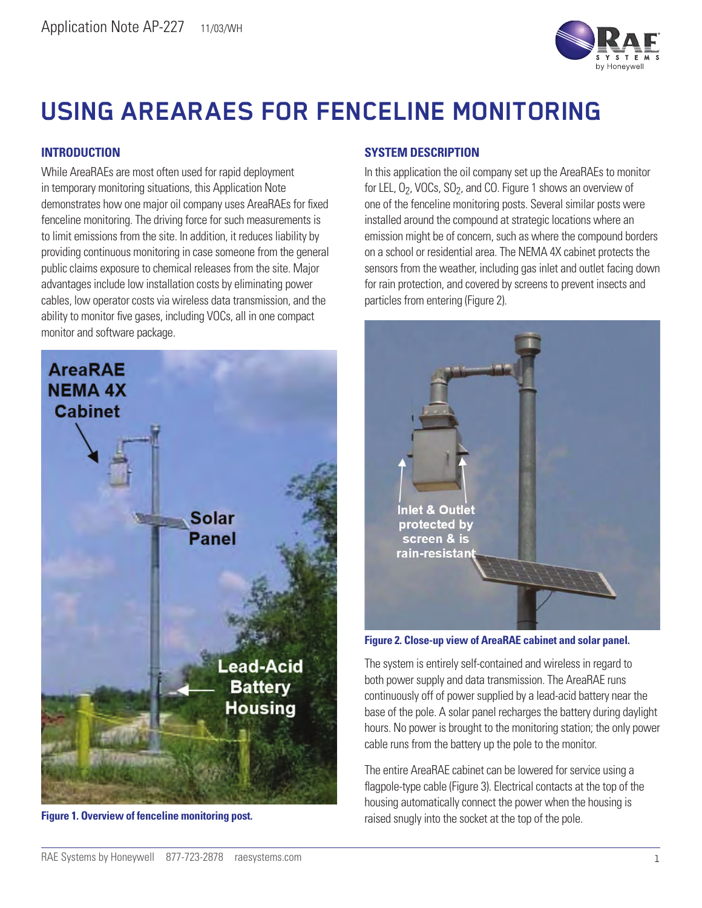

# **USING AREARAES FOR FENCELINE MONITORING**

## **INTRODUCTION**

While AreaRAEs are most often used for rapid deployment in temporary monitoring situations, this Application Note demonstrates how one major oil company uses AreaRAEs for fixed fenceline monitoring. The driving force for such measurements is to limit emissions from the site. In addition, it reduces liability by providing continuous monitoring in case someone from the general public claims exposure to chemical releases from the site. Major advantages include low installation costs by eliminating power cables, low operator costs via wireless data transmission, and the ability to monitor five gases, including VOCs, all in one compact monitor and software package.



### **SYSTEM DESCRIPTION**

In this application the oil company set up the AreaRAEs to monitor for LEL,  $O_2$ , VOCs,  $SO_2$ , and CO. Figure 1 shows an overview of one of the fenceline monitoring posts. Several similar posts were installed around the compound at strategic locations where an emission might be of concern, such as where the compound borders on a school or residential area. The NEMA 4X cabinet protects the sensors from the weather, including gas inlet and outlet facing down for rain protection, and covered by screens to prevent insects and particles from entering (Figure 2).



**Figure 2. Close-up view of AreaRAE cabinet and solar panel.** 

The system is entirely self-contained and wireless in regard to both power supply and data transmission. The AreaRAE runs continuously off of power supplied by a lead-acid battery near the base of the pole. A solar panel recharges the battery during daylight hours. No power is brought to the monitoring station; the only power cable runs from the battery up the pole to the monitor.

The entire AreaRAE cabinet can be lowered for service using a flagpole-type cable (Figure 3). Electrical contacts at the top of the housing automatically connect the power when the housing is Figure 1. Overview of fenceline monitoring post. **Figure 1. Overview of the pole** contact the top of the pole.